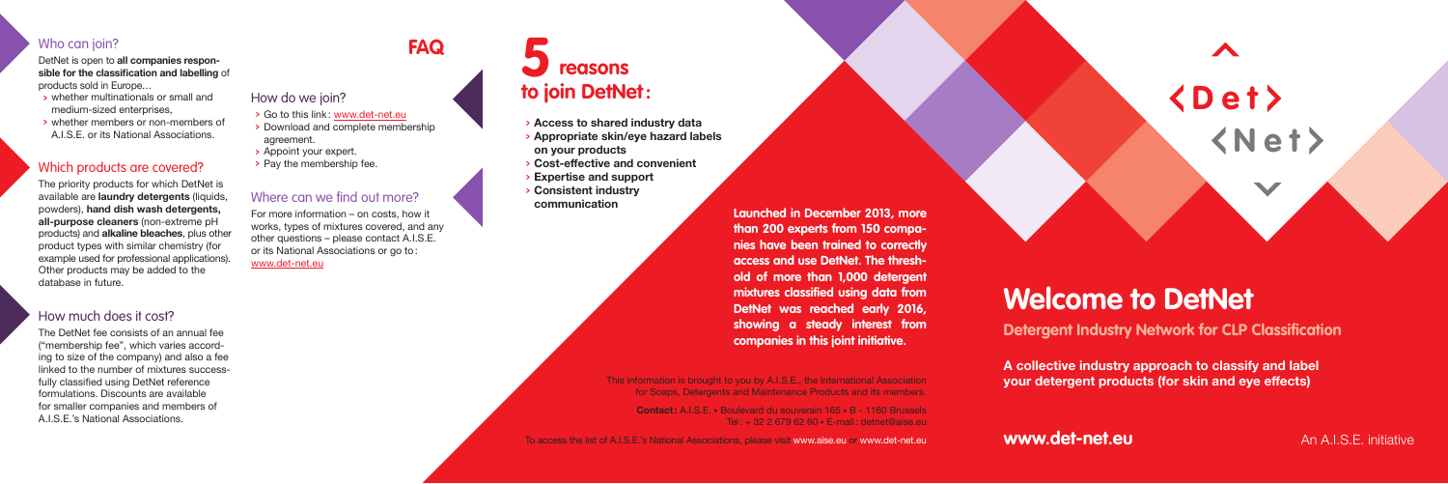

# **Welcome to DetNet**

**Detergent Industry Network for CLP Classification**

**A collective industry approach to classify and label your detergent products (for skin and eye effects)**

**www.det-net.eu An A.I.S.E. initiative** 

#### Who can join?

DetNet is open to **all companies responsible for the classification and labelling** of products sold in Europe…

- <sup>&</sup>gt; whether multinationals or small and medium-sized enterprises,
- <sup>&</sup>gt; whether members or non-members of A.I.S.E. or its National Associations.

#### Which products are covered?

- <sup>&</sup>gt; Go to this link: www.det-net.eu
- <sup>&</sup>gt; Download and complete membership agreement.
- <sup>&</sup>gt; Appoint your expert.
- > Pay the membership fee.

#### Where can we find out more?

The priority products for which DetNet is available are **laundry detergents** (liquids, powders), **hand dish wash detergents, all-purpose cleaners** (non-extreme pH products) and **alkaline bleaches**, plus other product types with similar chemistry (for example used for professional applications). Other products may be added to the database in future.

#### How much does it cost?

The DetNet fee consists of an annual fee ("membership fee", which varies according to size of the company) and also a fee linked to the number of mixtures successfully classified using DetNet reference formulations. Discounts are available for smaller companies and members of A.I.S.E.'s National Associations.

For more information – on costs, how it works, types of mixtures covered, and any other questions – please contact A.I.S.E. or its National Associations or go to: www.det-net.eu

### **FAQ**

#### How do we join?

This information is brought to you by A.I.S.E., the International Association for Soaps, Detergents and Maintenance Products and its members.

**Contact:** A.I.S.E. • Boulevard du souverain 165 • B - 1160 Brussels Tel: + 32 2 679 62 60 • E-mail: detnet@aise.eu

To access the list of A.I.S.E.'s National Associations, please visit www.aise.eu or www.det-net.eu

## **reasons to join DetNet: 5**

- <sup>&</sup>gt; **Access to shared industry data**
- <sup>&</sup>gt; **Appropriate skin/eye hazard labels on your products**
- <sup>&</sup>gt; **Cost-effective and convenient**
- <sup>&</sup>gt; **Expertise and support**
- <sup>&</sup>gt; **Consistent industry communication**

**Launched in December 2013, more than 200 experts from 150 companies have been trained to correctly access and use DetNet. The threshold of more than 1,000 detergent mixtures classified using data from DetNet was reached early 2016, showing a steady interest from companies in this joint initiative.**